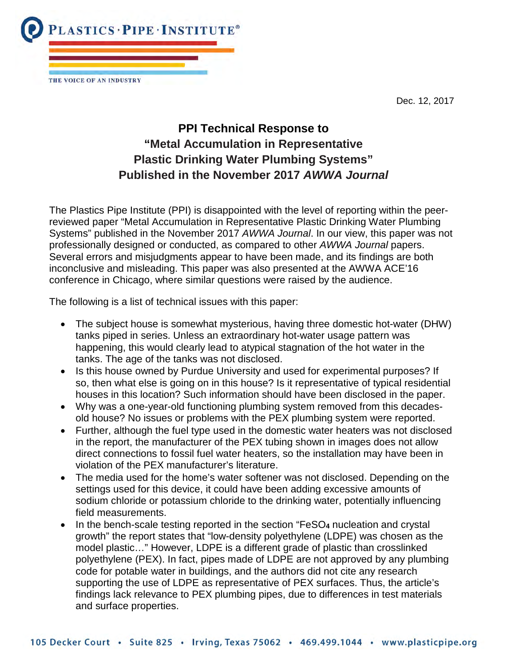Dec. 12, 2017



THE VOICE OF AN INDUSTRY

## **PPI Technical Response to "Metal Accumulation in Representative Plastic Drinking Water Plumbing Systems" Published in the November 2017** *AWWA Journal*

The Plastics Pipe Institute (PPI) is disappointed with the level of reporting within the peerreviewed paper "Metal Accumulation in Representative Plastic Drinking Water Plumbing Systems" published in the November 2017 *AWWA Journal*. In our view, this paper was not professionally designed or conducted, as compared to other *AWWA Journal* papers. Several errors and misjudgments appear to have been made, and its findings are both inconclusive and misleading. This paper was also presented at the AWWA ACE'16 conference in Chicago, where similar questions were raised by the audience.

The following is a list of technical issues with this paper:

- The subject house is somewhat mysterious, having three domestic hot-water (DHW) tanks piped in series. Unless an extraordinary hot-water usage pattern was happening, this would clearly lead to atypical stagnation of the hot water in the tanks. The age of the tanks was not disclosed.
- Is this house owned by Purdue University and used for experimental purposes? If so, then what else is going on in this house? Is it representative of typical residential houses in this location? Such information should have been disclosed in the paper.
- Why was a one-year-old functioning plumbing system removed from this decadesold house? No issues or problems with the PEX plumbing system were reported.
- Further, although the fuel type used in the domestic water heaters was not disclosed in the report, the manufacturer of the PEX tubing shown in images does not allow direct connections to fossil fuel water heaters, so the installation may have been in violation of the PEX manufacturer's literature.
- The media used for the home's water softener was not disclosed. Depending on the settings used for this device, it could have been adding excessive amounts of sodium chloride or potassium chloride to the drinking water, potentially influencing field measurements.
- In the bench-scale testing reported in the section "FeSO**<sup>4</sup>** nucleation and crystal growth" the report states that "low-density polyethylene (LDPE) was chosen as the model plastic…" However, LDPE is a different grade of plastic than crosslinked polyethylene (PEX). In fact, pipes made of LDPE are not approved by any plumbing code for potable water in buildings, and the authors did not cite any research supporting the use of LDPE as representative of PEX surfaces. Thus, the article's findings lack relevance to PEX plumbing pipes, due to differences in test materials and surface properties.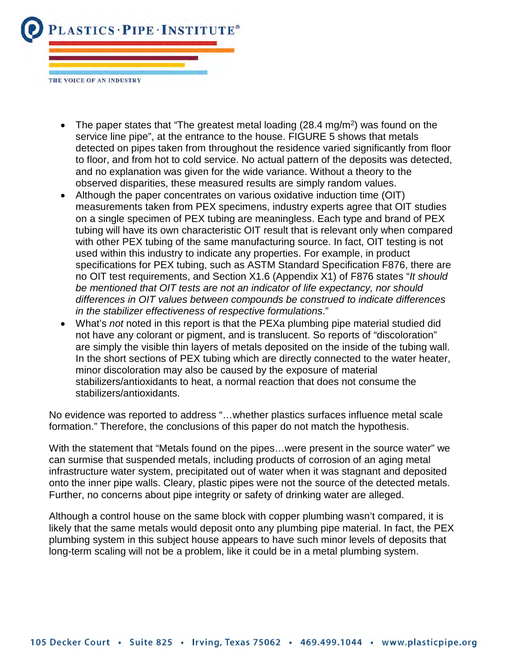

- The paper states that "The greatest metal loading  $(28.4 \text{ mg/m}^2)$  was found on the service line pipe", at the entrance to the house. FIGURE 5 shows that metals detected on pipes taken from throughout the residence varied significantly from floor to floor, and from hot to cold service. No actual pattern of the deposits was detected, and no explanation was given for the wide variance. Without a theory to the observed disparities, these measured results are simply random values.
- Although the paper concentrates on various oxidative induction time (OIT) measurements taken from PEX specimens, industry experts agree that OIT studies on a single specimen of PEX tubing are meaningless. Each type and brand of PEX tubing will have its own characteristic OIT result that is relevant only when compared with other PEX tubing of the same manufacturing source. In fact, OIT testing is not used within this industry to indicate any properties. For example, in product specifications for PEX tubing, such as ASTM Standard Specification F876, there are no OIT test requirements, and Section X1.6 (Appendix X1) of F876 states "*It should be mentioned that OIT tests are not an indicator of life expectancy, nor should differences in OIT values between compounds be construed to indicate differences in the stabilizer effectiveness of respective formulations*."
- What's *not* noted in this report is that the PEXa plumbing pipe material studied did not have any colorant or pigment, and is translucent. So reports of "discoloration" are simply the visible thin layers of metals deposited on the inside of the tubing wall. In the short sections of PEX tubing which are directly connected to the water heater, minor discoloration may also be caused by the exposure of material stabilizers/antioxidants to heat, a normal reaction that does not consume the stabilizers/antioxidants.

No evidence was reported to address "…whether plastics surfaces influence metal scale formation." Therefore, the conclusions of this paper do not match the hypothesis.

With the statement that "Metals found on the pipes…were present in the source water" we can surmise that suspended metals, including products of corrosion of an aging metal infrastructure water system, precipitated out of water when it was stagnant and deposited onto the inner pipe walls. Cleary, plastic pipes were not the source of the detected metals. Further, no concerns about pipe integrity or safety of drinking water are alleged.

Although a control house on the same block with copper plumbing wasn't compared, it is likely that the same metals would deposit onto any plumbing pipe material. In fact, the PEX plumbing system in this subject house appears to have such minor levels of deposits that long-term scaling will not be a problem, like it could be in a metal plumbing system.